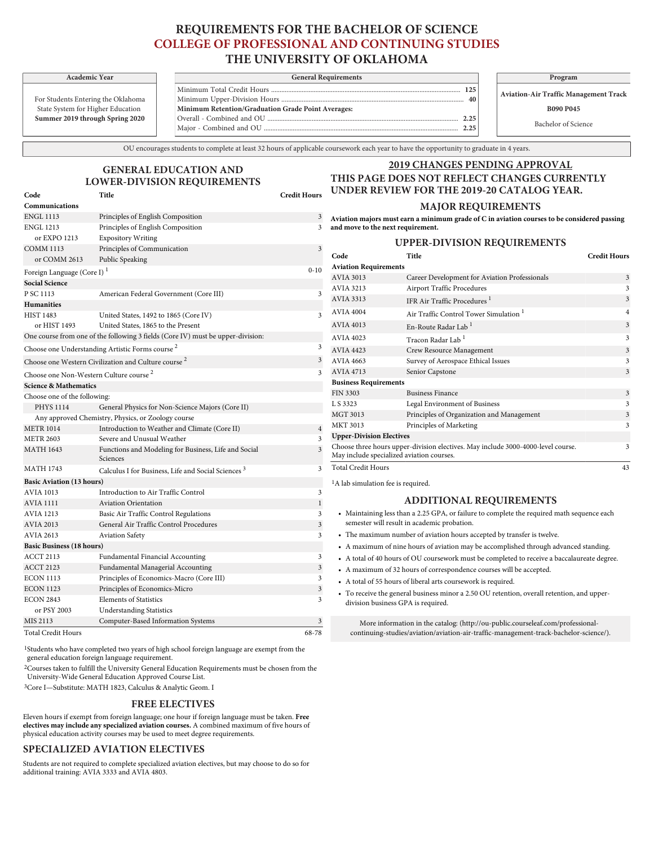# **REQUIREMENTS FOR THE BACHELOR OF SCIENCE COLLEGE OF PROFESSIONAL AND CONTINUING STUDIES THE UNIVERSITY OF OKLAHOMA**

For Students Entering the Oklahoma State System for Higher Education **Summer 2019 through Spring 2020**

or EXPO 1213 Expository Writing COMM 1113 Principles of Communication or COMM 2613 Public Speaking

P SC 1113 American Federal Government (Core III)

One course from one of the following 3 fields (Core IV) must be upper-division:

PHYS 1114 General Physics for Non-Science Majors (Core II)

MATH 1643 Functions and Modeling for Business, Life and Social

MATH 1743 Calculus I for Business, Life and Social Sciences<sup>3</sup>

HIST 1483 United States, 1492 to 1865 (Core IV) or HIST 1493 United States, 1865 to the Present

Any approved Chemistry, Physics, or Zoology course METR 1014 Introduction to Weather and Climate (Core II)

METR 2603 Severe and Unusual Weather

Sciences

Choose one Understanding Artistic Forms course<sup>2</sup> Choose one Western Civilization and Culture course<sup>2</sup>

Choose one Non-Western Culture course<sup>2</sup>

**Communications**

**Social Science**

**Humanities**

Foreign Language (Core I) $^{\rm l}$ 

**Science & Mathematics** Choose one of the following:

**Basic Aviation (13 hours)**

**Basic Business (18 hours)**

| Academic Year             |  | <b>General Requirements</b>                        |  | Program                         |  |
|---------------------------|--|----------------------------------------------------|--|---------------------------------|--|
|                           |  |                                                    |  | <b>Aviation-Air Traffic May</b> |  |
| nts Entering the Oklahoma |  | 40                                                 |  |                                 |  |
| em for Higher Education   |  | Minimum Retention/Graduation Grade Point Averages: |  | <b>B090 P04</b>                 |  |
| 019 through Spring 2020   |  | 2.25                                               |  |                                 |  |
|                           |  | つつち                                                |  | Bachelor of Sc                  |  |
|                           |  |                                                    |  |                                 |  |

**Aviation-Air Traffic Management Track**

**B090 P045**

Bachelor of Science

OU encourages students to complete at least 32 hours of applicable coursework each year to have the opportunity to graduate in 4 years.

## **GENERAL EDUCATION AND LOWER-DIVISION REQUIREMENTS Code Title Credit Hours**

ENGL 1113 Principles of English Composition 3 ENGL 1213 Principles of English Composition 3

### **2019 CHANGES PENDING APPROVAL THIS PAGE DOES NOT REFLECT CHANGES CURRENTLY UNDER REVIEW FOR THE 2019-20 CATALOG YEAR.**

#### **MAJOR REQUIREMENTS**

**Aviation majors must earn a minimum grade of C in aviation courses to be considered passing and move to the next requirement.**

## **UPPER-DIVISION REQUIREMENTS**

| 3                       | UI I LIV-DI VISION REQUIREMENTS                                                                                               |                                                   |                         |  |  |  |
|-------------------------|-------------------------------------------------------------------------------------------------------------------------------|---------------------------------------------------|-------------------------|--|--|--|
|                         | Code                                                                                                                          | Title                                             | <b>Credit Hours</b>     |  |  |  |
| $0 - 10$                |                                                                                                                               | <b>Aviation Requirements</b>                      |                         |  |  |  |
|                         | <b>AVIA 3013</b>                                                                                                              | Career Development for Aviation Professionals     | 3                       |  |  |  |
| 3                       | AVIA 3213                                                                                                                     | <b>Airport Traffic Procedures</b>                 | 3                       |  |  |  |
|                         | AVIA 3313                                                                                                                     | IFR Air Traffic Procedures <sup>1</sup>           | 3                       |  |  |  |
| $\overline{\mathbf{3}}$ | AVIA 4004                                                                                                                     | Air Traffic Control Tower Simulation <sup>1</sup> | $\overline{4}$          |  |  |  |
|                         | <b>AVIA 4013</b>                                                                                                              | En-Route Radar Lab <sup>1</sup>                   | 3                       |  |  |  |
|                         | AVIA 4023                                                                                                                     | Tracon Radar Lab <sup>1</sup>                     | 3                       |  |  |  |
| 3                       | AVIA 4423                                                                                                                     | Crew Resource Management                          | $\overline{\mathbf{3}}$ |  |  |  |
| 3                       | AVIA 4663                                                                                                                     | Survey of Aerospace Ethical Issues                | 3                       |  |  |  |
| 3                       | AVIA 4713                                                                                                                     | Senior Capstone                                   | 3                       |  |  |  |
|                         | <b>Business Requirements</b>                                                                                                  |                                                   |                         |  |  |  |
|                         | <b>FIN 3303</b>                                                                                                               | <b>Business Finance</b>                           | 3                       |  |  |  |
|                         | L S 3323                                                                                                                      | Legal Environment of Business                     | 3                       |  |  |  |
|                         | <b>MGT 3013</b>                                                                                                               | Principles of Organization and Management         | 3                       |  |  |  |
| $\overline{4}$          | <b>MKT 3013</b>                                                                                                               | Principles of Marketing                           | 3                       |  |  |  |
| 3                       | <b>Upper-Division Electives</b>                                                                                               |                                                   |                         |  |  |  |
| $\overline{\mathbf{3}}$ | Choose three hours upper-division electives. May include 3000-4000-level course.<br>May include specialized aviation courses. |                                                   |                         |  |  |  |
| 3                       | <b>Total Credit Hours</b>                                                                                                     |                                                   | 43                      |  |  |  |
|                         |                                                                                                                               |                                                   |                         |  |  |  |

1A lab simulation fee is required.

#### **ADDITIONAL REQUIREMENTS**

- Maintaining less than a 2.25 GPA, or failure to complete the required math sequence each semester will result in academic probation.
- The maximum number of aviation hours accepted by transfer is twelve.
- A maximum of nine hours of aviation may be accomplished through advanced standing.
- A total of 40 hours of OU coursework must be completed to receive a baccalaureate degree.
- A maximum of 32 hours of correspondence courses will be accepted.
- A total of 55 hours of liberal arts coursework is required.
- To receive the general business minor a 2.50 OU retention, overall retention, and upperdivision business GPA is required.

More information in the catalog: ([http://ou-public.courseleaf.com/professional](http://ou-public.courseleaf.com/professional-continuing-studies/aviation/aviation-air-traffic-management-track-bachelor-science/)[continuing-studies/aviation/aviation-air-traffic-management-track-bachelor-science/\)](http://ou-public.courseleaf.com/professional-continuing-studies/aviation/aviation-air-traffic-management-track-bachelor-science/).

| MIS 2113           | Computer-Based Information Systems                                                                     |       |
|--------------------|--------------------------------------------------------------------------------------------------------|-------|
| Total Credit Hours |                                                                                                        | 68-78 |
|                    | <sup>1</sup> Students who have completed two years of high school foreign language are exempt from the |       |

AVIA 1013 Introduction to Air Traffic Control 3 AVIA 1111 Aviation Orientation 1 AVIA 1213 Basic Air Traffic Control Regulations 3 AVIA 2013 General Air Traffic Control Procedures 3 AVIA 2613 Aviation Safety 3

ACCT 2113 Fundamental Financial Accounting 3 ACCT 2123 Fundamental Managerial Accounting 3 ECON 1113 Principles of Economics-Macro (Core III) 3 ECON 1123 Principles of Economics-Micro 3 ECON 2843 Elements of Statistics 3

general education foreign language requirement.

or PSY 2003 Understanding Statistics

2Courses taken to fulfill the University General Education Requirements must be chosen from the [University-Wide General Education Approved Course List](http://www.ou.edu/gened/courses/).

3Core I—Substitute: MATH 1823, Calculus & Analytic Geom. I

#### **FREE ELECTIVES**

Eleven hours if exempt from foreign language; one hour if foreign language must be taken. **Free electives may include any specialized aviation courses.** A combined maximum of five hours of physical education activity courses may be used to meet degree requirements.

#### **SPECIALIZED AVIATION ELECTIVES**

Students are not required to complete specialized aviation electives, but may choose to do so for additional training: AVIA 3333 and AVIA 4803.